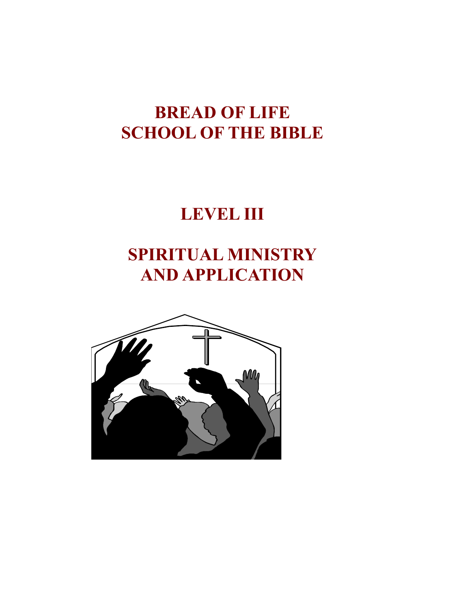# **BREAD OF LIFE SCHOOL OF THE BIBLE**

# **LEVEL III**

# **SPIRITUAL MINISTRY AND APPLICATION**

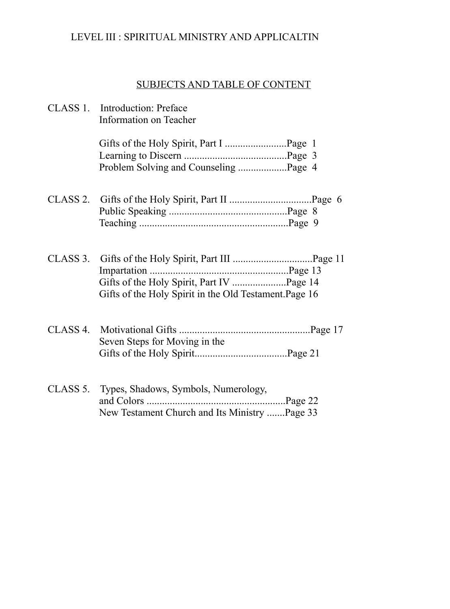## LEVEL III : SPIRITUAL MINISTRY AND APPLICALTIN

## SUBJECTS AND TABLE OF CONTENT

| CLASS 1. Introduction: Preface<br>Information on Teacher                                       |
|------------------------------------------------------------------------------------------------|
|                                                                                                |
|                                                                                                |
| Gifts of the Holy Spirit in the Old Testament. Page 16                                         |
| Seven Steps for Moving in the                                                                  |
| CLASS 5. Types, Shadows, Symbols, Numerology,<br>New Testament Church and Its Ministry Page 33 |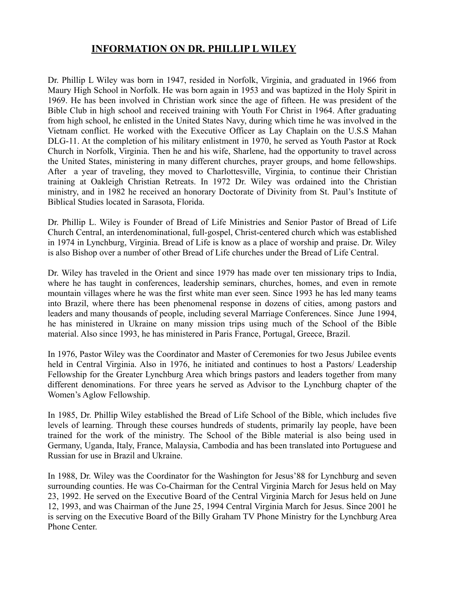#### **INFORMATION ON DR. PHILLIP L WILEY**

Dr. Phillip L Wiley was born in 1947, resided in Norfolk, Virginia, and graduated in 1966 from Maury High School in Norfolk. He was born again in 1953 and was baptized in the Holy Spirit in 1969. He has been involved in Christian work since the age of fifteen. He was president of the Bible Club in high school and received training with Youth For Christ in 1964. After graduating from high school, he enlisted in the United States Navy, during which time he was involved in the Vietnam conflict. He worked with the Executive Officer as Lay Chaplain on the U.S.S Mahan DLG-11. At the completion of his military enlistment in 1970, he served as Youth Pastor at Rock Church in Norfolk, Virginia. Then he and his wife, Sharlene, had the opportunity to travel across the United States, ministering in many different churches, prayer groups, and home fellowships. After a year of traveling, they moved to Charlottesville, Virginia, to continue their Christian training at Oakleigh Christian Retreats. In 1972 Dr. Wiley was ordained into the Christian ministry, and in 1982 he received an honorary Doctorate of Divinity from St. Paul's Institute of Biblical Studies located in Sarasota, Florida.

Dr. Phillip L. Wiley is Founder of Bread of Life Ministries and Senior Pastor of Bread of Life Church Central, an interdenominational, full-gospel, Christ-centered church which was established in 1974 in Lynchburg, Virginia. Bread of Life is know as a place of worship and praise. Dr. Wiley is also Bishop over a number of other Bread of Life churches under the Bread of Life Central.

Dr. Wiley has traveled in the Orient and since 1979 has made over ten missionary trips to India, where he has taught in conferences, leadership seminars, churches, homes, and even in remote mountain villages where he was the first white man ever seen. Since 1993 he has led many teams into Brazil, where there has been phenomenal response in dozens of cities, among pastors and leaders and many thousands of people, including several Marriage Conferences. Since June 1994, he has ministered in Ukraine on many mission trips using much of the School of the Bible material. Also since 1993, he has ministered in Paris France, Portugal, Greece, Brazil.

In 1976, Pastor Wiley was the Coordinator and Master of Ceremonies for two Jesus Jubilee events held in Central Virginia. Also in 1976, he initiated and continues to host a Pastors/ Leadership Fellowship for the Greater Lynchburg Area which brings pastors and leaders together from many different denominations. For three years he served as Advisor to the Lynchburg chapter of the Women's Aglow Fellowship.

In 1985, Dr. Phillip Wiley established the Bread of Life School of the Bible, which includes five levels of learning. Through these courses hundreds of students, primarily lay people, have been trained for the work of the ministry. The School of the Bible material is also being used in Germany, Uganda, Italy, France, Malaysia, Cambodia and has been translated into Portuguese and Russian for use in Brazil and Ukraine.

In 1988, Dr. Wiley was the Coordinator for the Washington for Jesus'88 for Lynchburg and seven surrounding counties. He was Co-Chairman for the Central Virginia March for Jesus held on May 23, 1992. He served on the Executive Board of the Central Virginia March for Jesus held on June 12, 1993, and was Chairman of the June 25, 1994 Central Virginia March for Jesus. Since 2001 he is serving on the Executive Board of the Billy Graham TV Phone Ministry for the Lynchburg Area Phone Center.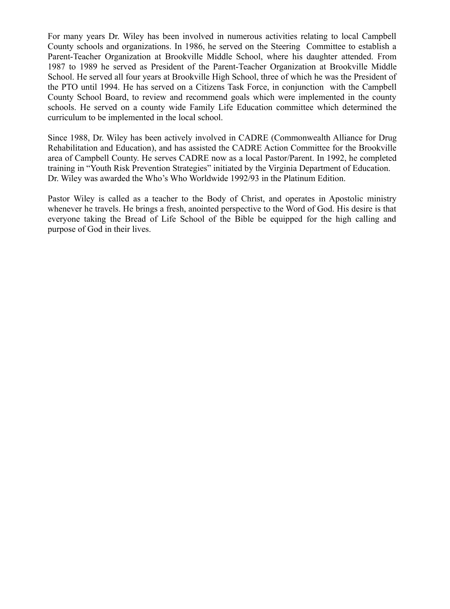For many years Dr. Wiley has been involved in numerous activities relating to local Campbell County schools and organizations. In 1986, he served on the Steering Committee to establish a Parent-Teacher Organization at Brookville Middle School, where his daughter attended. From 1987 to 1989 he served as President of the Parent-Teacher Organization at Brookville Middle School. He served all four years at Brookville High School, three of which he was the President of the PTO until 1994. He has served on a Citizens Task Force, in conjunction with the Campbell County School Board, to review and recommend goals which were implemented in the county schools. He served on a county wide Family Life Education committee which determined the curriculum to be implemented in the local school.

Since 1988, Dr. Wiley has been actively involved in CADRE (Commonwealth Alliance for Drug Rehabilitation and Education), and has assisted the CADRE Action Committee for the Brookville area of Campbell County. He serves CADRE now as a local Pastor/Parent. In 1992, he completed training in "Youth Risk Prevention Strategies" initiated by the Virginia Department of Education. Dr. Wiley was awarded the Who's Who Worldwide 1992/93 in the Platinum Edition.

Pastor Wiley is called as a teacher to the Body of Christ, and operates in Apostolic ministry whenever he travels. He brings a fresh, anointed perspective to the Word of God. His desire is that everyone taking the Bread of Life School of the Bible be equipped for the high calling and purpose of God in their lives.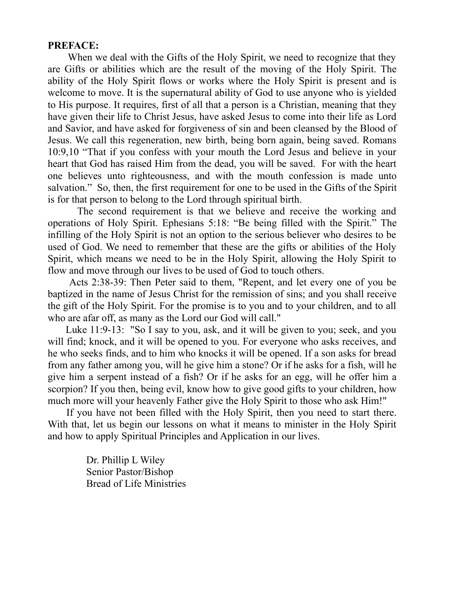#### **PREFACE:**

 When we deal with the Gifts of the Holy Spirit, we need to recognize that they are Gifts or abilities which are the result of the moving of the Holy Spirit. The ability of the Holy Spirit flows or works where the Holy Spirit is present and is welcome to move. It is the supernatural ability of God to use anyone who is yielded to His purpose. It requires, first of all that a person is a Christian, meaning that they have given their life to Christ Jesus, have asked Jesus to come into their life as Lord and Savior, and have asked for forgiveness of sin and been cleansed by the Blood of Jesus. We call this regeneration, new birth, being born again, being saved. Romans 10:9,10 "That if you confess with your mouth the Lord Jesus and believe in your heart that God has raised Him from the dead, you will be saved. For with the heart one believes unto righteousness, and with the mouth confession is made unto salvation." So, then, the first requirement for one to be used in the Gifts of the Spirit is for that person to belong to the Lord through spiritual birth.

 The second requirement is that we believe and receive the working and operations of Holy Spirit. Ephesians 5:18: "Be being filled with the Spirit." The infilling of the Holy Spirit is not an option to the serious believer who desires to be used of God. We need to remember that these are the gifts or abilities of the Holy Spirit, which means we need to be in the Holy Spirit, allowing the Holy Spirit to flow and move through our lives to be used of God to touch others.

 Acts 2:38-39: Then Peter said to them, "Repent, and let every one of you be baptized in the name of Jesus Christ for the remission of sins; and you shall receive the gift of the Holy Spirit. For the promise is to you and to your children, and to all who are afar off, as many as the Lord our God will call."

 Luke 11:9-13: "So I say to you, ask, and it will be given to you; seek, and you will find; knock, and it will be opened to you. For everyone who asks receives, and he who seeks finds, and to him who knocks it will be opened. If a son asks for bread from any father among you, will he give him a stone? Or if he asks for a fish, will he give him a serpent instead of a fish? Or if he asks for an egg, will he offer him a scorpion? If you then, being evil, know how to give good gifts to your children, how much more will your heavenly Father give the Holy Spirit to those who ask Him!"

 If you have not been filled with the Holy Spirit, then you need to start there. With that, let us begin our lessons on what it means to minister in the Holy Spirit and how to apply Spiritual Principles and Application in our lives.

> Dr. Phillip L Wiley Senior Pastor/Bishop Bread of Life Ministries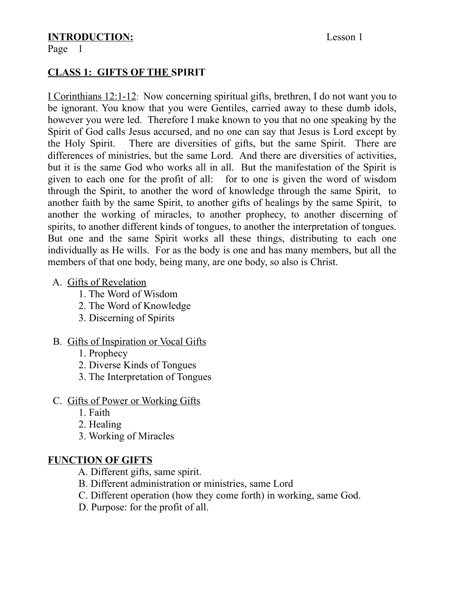# **INTRODUCTION:** Lesson 1

## **CLASS 1: GIFTS OF THE SPIRIT**

I Corinthians 12:1-12: Now concerning spiritual gifts, brethren, I do not want you to be ignorant. You know that you were Gentiles, carried away to these dumb idols, however you were led. Therefore I make known to you that no one speaking by the Spirit of God calls Jesus accursed, and no one can say that Jesus is Lord except by the Holy Spirit. There are diversities of gifts, but the same Spirit. There are differences of ministries, but the same Lord. And there are diversities of activities, but it is the same God who works all in all. But the manifestation of the Spirit is given to each one for the profit of all: for to one is given the word of wisdom through the Spirit, to another the word of knowledge through the same Spirit, to another faith by the same Spirit, to another gifts of healings by the same Spirit, to another the working of miracles, to another prophecy, to another discerning of spirits, to another different kinds of tongues, to another the interpretation of tongues. But one and the same Spirit works all these things, distributing to each one individually as He wills. For as the body is one and has many members, but all the members of that one body, being many, are one body, so also is Christ.

#### A. Gifts of Revelation

- 1. The Word of Wisdom
- 2. The Word of Knowledge
- 3. Discerning of Spirits

## B. Gifts of Inspiration or Vocal Gifts

- 1. Prophecy
- 2. Diverse Kinds of Tongues
- 3. The Interpretation of Tongues
- C. Gifts of Power or Working Gifts
	- 1. Faith
	- 2. Healing
	- 3. Working of Miracles

## **FUNCTION OF GIFTS**

- A. Different gifts, same spirit.
- B. Different administration or ministries, same Lord
- C. Different operation (how they come forth) in working, same God.
- D. Purpose: for the profit of all.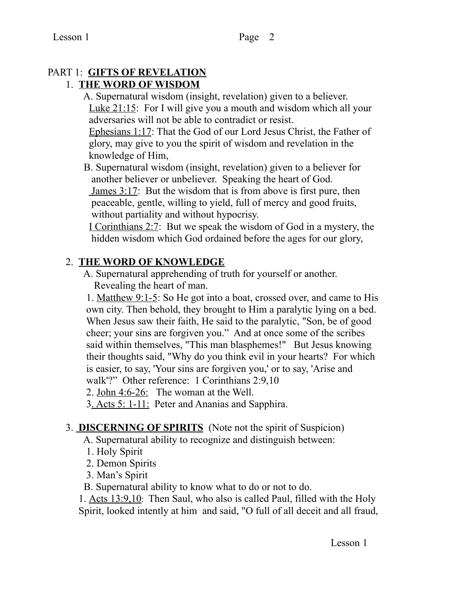# PART 1: **GIFTS OF REVELATION**

## 1. **THE WORD OF WISDOM**

 A. Supernatural wisdom (insight, revelation) given to a believer. Luke 21:15: For I will give you a mouth and wisdom which all your adversaries will not be able to contradict or resist.

 Ephesians 1:17: That the God of our Lord Jesus Christ, the Father of glory, may give to you the spirit of wisdom and revelation in the knowledge of Him,

 B. Supernatural wisdom (insight, revelation) given to a believer for another believer or unbeliever. Speaking the heart of God. James 3:17: But the wisdom that is from above is first pure, then peaceable, gentle, willing to yield, full of mercy and good fruits, without partiality and without hypocrisy.

 I Corinthians 2:7: But we speak the wisdom of God in a mystery, the hidden wisdom which God ordained before the ages for our glory,

## 2. **THE WORD OF KNOWLEDGE**

 A. Supernatural apprehending of truth for yourself or another. Revealing the heart of man.

 1. Matthew 9:1-5: So He got into a boat, crossed over, and came to His own city. Then behold, they brought to Him a paralytic lying on a bed. When Jesus saw their faith, He said to the paralytic, "Son, be of good cheer; your sins are forgiven you." And at once some of the scribes said within themselves, "This man blasphemes!" But Jesus knowing their thoughts said, "Why do you think evil in your hearts? For which is easier, to say, 'Your sins are forgiven you,' or to say, 'Arise and walk'?" Other reference: 1 Corinthians 2:9,10

2. John 4:6-26: The woman at the Well.

3. Acts 5: 1-11: Peter and Ananias and Sapphira.

## 3. **DISCERNING OF SPIRITS** (Note not the spirit of Suspicion)

A. Supernatural ability to recognize and distinguish between:

- 1. Holy Spirit
- 2. Demon Spirits
- 3. Man's Spirit

B. Supernatural ability to know what to do or not to do.

 1. Acts 13:9,10: Then Saul, who also is called Paul, filled with the Holy Spirit, looked intently at him and said, "O full of all deceit and all fraud,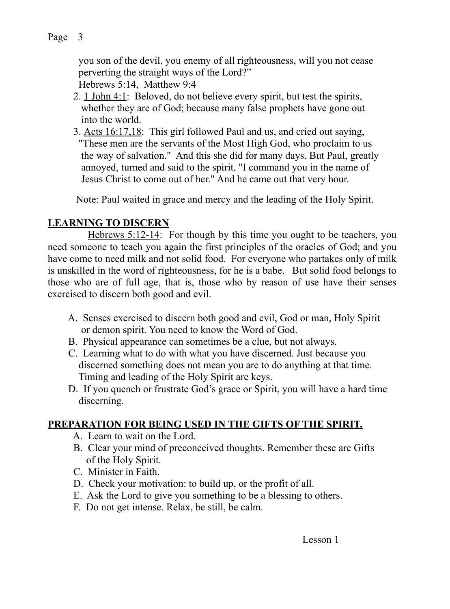you son of the devil, you enemy of all righteousness, will you not cease perverting the straight ways of the Lord?" Hebrews 5:14, Matthew 9:4

- 2. 1 John 4:1: Beloved, do not believe every spirit, but test the spirits, whether they are of God; because many false prophets have gone out into the world.
- 3. Acts 16:17,18: This girl followed Paul and us, and cried out saying, "These men are the servants of the Most High God, who proclaim to us the way of salvation." And this she did for many days. But Paul, greatly annoyed, turned and said to the spirit, "I command you in the name of Jesus Christ to come out of her." And he came out that very hour.

Note: Paul waited in grace and mercy and the leading of the Holy Spirit.

## **LEARNING TO DISCERN**

Hebrews 5:12-14: For though by this time you ought to be teachers, you need someone to teach you again the first principles of the oracles of God; and you have come to need milk and not solid food. For everyone who partakes only of milk is unskilled in the word of righteousness, for he is a babe. But solid food belongs to those who are of full age, that is, those who by reason of use have their senses exercised to discern both good and evil.

- A. Senses exercised to discern both good and evil, God or man, Holy Spirit or demon spirit. You need to know the Word of God.
- B. Physical appearance can sometimes be a clue, but not always.
- C. Learning what to do with what you have discerned. Just because you discerned something does not mean you are to do anything at that time. Timing and leading of the Holy Spirit are keys.
- D. If you quench or frustrate God's grace or Spirit, you will have a hard time discerning.

## **PREPARATION FOR BEING USED IN THE GIFTS OF THE SPIRIT.**

- A. Learn to wait on the Lord.
- B. Clear your mind of preconceived thoughts. Remember these are Gifts of the Holy Spirit.
- C. Minister in Faith.
- D. Check your motivation: to build up, or the profit of all.
- E. Ask the Lord to give you something to be a blessing to others.
- F. Do not get intense. Relax, be still, be calm.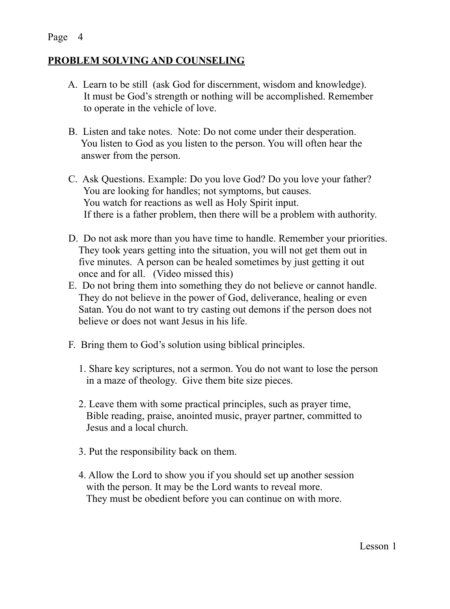## **PROBLEM SOLVING AND COUNSELING**

- A. Learn to be still (ask God for discernment, wisdom and knowledge). It must be God's strength or nothing will be accomplished. Remember to operate in the vehicle of love.
- B. Listen and take notes. Note: Do not come under their desperation. You listen to God as you listen to the person. You will often hear the answer from the person.
- C. Ask Questions. Example: Do you love God? Do you love your father? You are looking for handles; not symptoms, but causes. You watch for reactions as well as Holy Spirit input. If there is a father problem, then there will be a problem with authority.
- D. Do not ask more than you have time to handle. Remember your priorities. They took years getting into the situation, you will not get them out in five minutes. A person can be healed sometimes by just getting it out once and for all. (Video missed this)
- E. Do not bring them into something they do not believe or cannot handle. They do not believe in the power of God, deliverance, healing or even Satan. You do not want to try casting out demons if the person does not believe or does not want Jesus in his life.
- F. Bring them to God's solution using biblical principles.
	- 1. Share key scriptures, not a sermon. You do not want to lose the person in a maze of theology. Give them bite size pieces.
	- 2. Leave them with some practical principles, such as prayer time, Bible reading, praise, anointed music, prayer partner, committed to Jesus and a local church.
	- 3. Put the responsibility back on them.
	- 4. Allow the Lord to show you if you should set up another session with the person. It may be the Lord wants to reveal more. They must be obedient before you can continue on with more.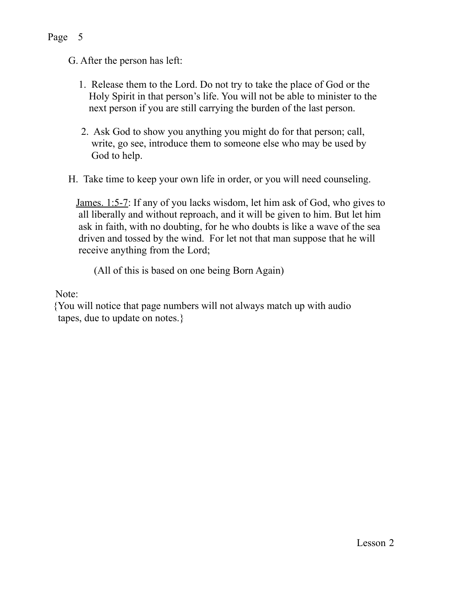- 1. Release them to the Lord. Do not try to take the place of God or the Holy Spirit in that person's life. You will not be able to minister to the next person if you are still carrying the burden of the last person.
- 2. Ask God to show you anything you might do for that person; call, write, go see, introduce them to someone else who may be used by God to help.
- H. Take time to keep your own life in order, or you will need counseling.

 James. 1:5-7: If any of you lacks wisdom, let him ask of God, who gives to all liberally and without reproach, and it will be given to him. But let him ask in faith, with no doubting, for he who doubts is like a wave of the sea driven and tossed by the wind. For let not that man suppose that he will receive anything from the Lord;

(All of this is based on one being Born Again)

Note:

 {You will notice that page numbers will not always match up with audio tapes, due to update on notes.}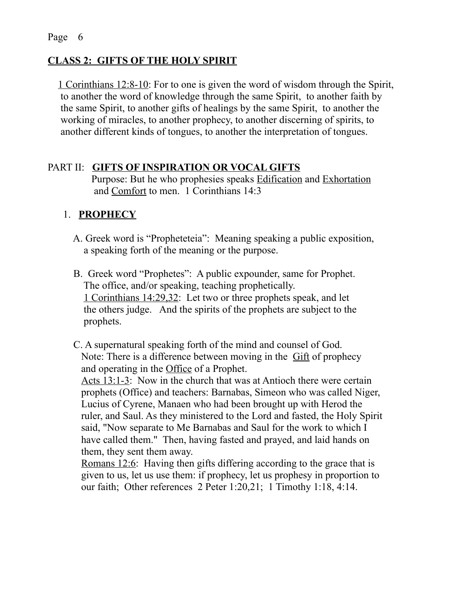#### **CLASS 2: GIFTS OF THE HOLY SPIRIT**

 1 Corinthians 12:8-10: For to one is given the word of wisdom through the Spirit, to another the word of knowledge through the same Spirit, to another faith by the same Spirit, to another gifts of healings by the same Spirit, to another the working of miracles, to another prophecy, to another discerning of spirits, to another different kinds of tongues, to another the interpretation of tongues.

#### PART II: **GIFTS OF INSPIRATION OR VOCAL GIFTS**

 Purpose: But he who prophesies speaks Edification and Exhortation and Comfort to men. 1 Corinthians 14:3

#### 1. **PROPHECY**

- A. Greek word is "Propheteteia": Meaning speaking a public exposition, a speaking forth of the meaning or the purpose.
- B. Greek word "Prophetes": A public expounder, same for Prophet. The office, and/or speaking, teaching prophetically. 1 Corinthians 14:29,32: Let two or three prophets speak, and let the others judge. And the spirits of the prophets are subject to the prophets.
- C. A supernatural speaking forth of the mind and counsel of God. Note: There is a difference between moving in the **Gift** of prophecy and operating in the Office of a Prophet.

 Acts 13:1-3: Now in the church that was at Antioch there were certain prophets (Office) and teachers: Barnabas, Simeon who was called Niger, Lucius of Cyrene, Manaen who had been brought up with Herod the ruler, and Saul. As they ministered to the Lord and fasted, the Holy Spirit said, "Now separate to Me Barnabas and Saul for the work to which I have called them." Then, having fasted and prayed, and laid hands on them, they sent them away.

 Romans 12:6: Having then gifts differing according to the grace that is given to us, let us use them: if prophecy, let us prophesy in proportion to our faith; Other references 2 Peter 1:20,21; 1 Timothy 1:18, 4:14.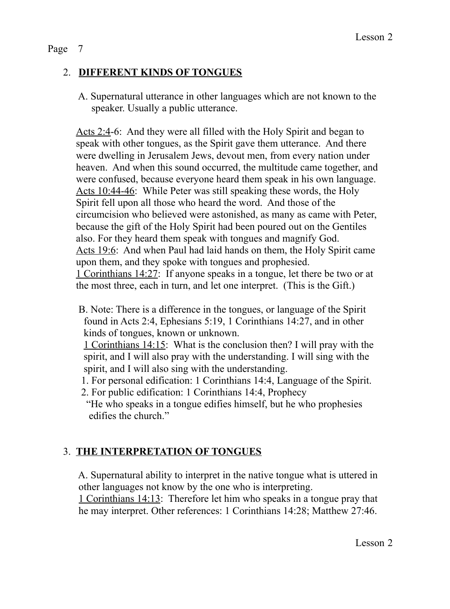## 2. **DIFFERENT KINDS OF TONGUES**

 A. Supernatural utterance in other languages which are not known to the speaker. Usually a public utterance.

 Acts 2:4-6: And they were all filled with the Holy Spirit and began to speak with other tongues, as the Spirit gave them utterance. And there were dwelling in Jerusalem Jews, devout men, from every nation under heaven. And when this sound occurred, the multitude came together, and were confused, because everyone heard them speak in his own language. Acts 10:44-46: While Peter was still speaking these words, the Holy Spirit fell upon all those who heard the word. And those of the circumcision who believed were astonished, as many as came with Peter, because the gift of the Holy Spirit had been poured out on the Gentiles also. For they heard them speak with tongues and magnify God. Acts 19:6: And when Paul had laid hands on them, the Holy Spirit came upon them, and they spoke with tongues and prophesied. 1 Corinthians 14:27: If anyone speaks in a tongue, let there be two or at the most three, each in turn, and let one interpret. (This is the Gift.)

 B. Note: There is a difference in the tongues, or language of the Spirit found in Acts 2:4, Ephesians 5:19, 1 Corinthians 14:27, and in other kinds of tongues, known or unknown.

 1 Corinthians 14:15: What is the conclusion then? I will pray with the spirit, and I will also pray with the understanding. I will sing with the spirit, and I will also sing with the understanding.

- 1. For personal edification: 1 Corinthians 14:4, Language of the Spirit.
- 2. For public edification: 1 Corinthians 14:4, Prophecy "He who speaks in a tongue edifies himself, but he who prophesies edifies the church."

## 3. **THE INTERPRETATION OF TONGUES**

 A. Supernatural ability to interpret in the native tongue what is uttered in other languages not know by the one who is interpreting.

 1 Corinthians 14:13: Therefore let him who speaks in a tongue pray that he may interpret. Other references: 1 Corinthians 14:28; Matthew 27:46.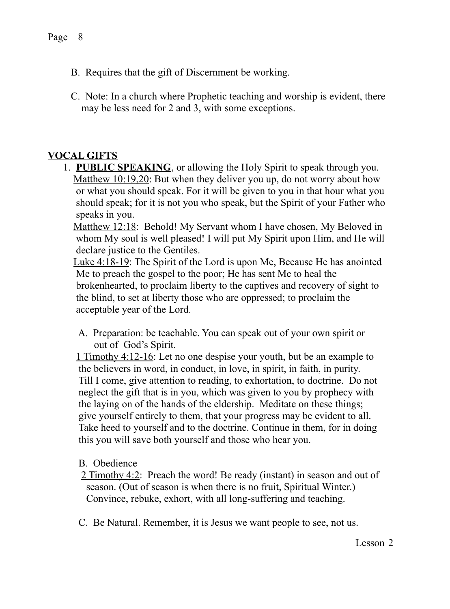- B. Requires that the gift of Discernment be working.
- C. Note: In a church where Prophetic teaching and worship is evident, there may be less need for 2 and 3, with some exceptions.

## **VOCAL GIFTS**

 1. **PUBLIC SPEAKING**, or allowing the Holy Spirit to speak through you. Matthew 10:19,20: But when they deliver you up, do not worry about how or what you should speak. For it will be given to you in that hour what you should speak; for it is not you who speak, but the Spirit of your Father who speaks in you.

 Matthew 12:18: Behold! My Servant whom I have chosen, My Beloved in whom My soul is well pleased! I will put My Spirit upon Him, and He will declare justice to the Gentiles.

 Luke 4:18-19: The Spirit of the Lord is upon Me, Because He has anointed Me to preach the gospel to the poor; He has sent Me to heal the brokenhearted, to proclaim liberty to the captives and recovery of sight to the blind, to set at liberty those who are oppressed; to proclaim the acceptable year of the Lord.

 A. Preparation: be teachable. You can speak out of your own spirit or out of God's Spirit.

1 Timothy 4:12-16: Let no one despise your youth, but be an example to the believers in word, in conduct, in love, in spirit, in faith, in purity. Till I come, give attention to reading, to exhortation, to doctrine. Do not neglect the gift that is in you, which was given to you by prophecy with the laying on of the hands of the eldership. Meditate on these things; give yourself entirely to them, that your progress may be evident to all. Take heed to yourself and to the doctrine. Continue in them, for in doing this you will save both yourself and those who hear you.

#### B. Obedience

- 2 Timothy 4:2: Preach the word! Be ready (instant) in season and out of season. (Out of season is when there is no fruit, Spiritual Winter.) Convince, rebuke, exhort, with all long-suffering and teaching.
- C. Be Natural. Remember, it is Jesus we want people to see, not us.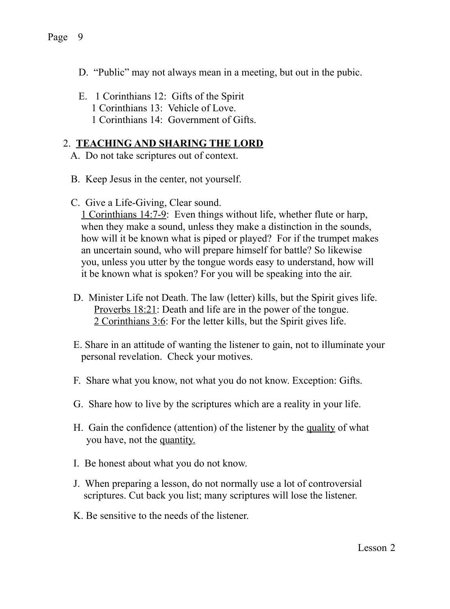- D. "Public" may not always mean in a meeting, but out in the pubic.
- E. 1 Corinthians 12: Gifts of the Spirit 1 Corinthians 13: Vehicle of Love. 1 Corinthians 14: Government of Gifts.

#### 2. **TEACHING AND SHARING THE LORD**

- A. Do not take scriptures out of context.
- B. Keep Jesus in the center, not yourself.
- C. Give a Life-Giving, Clear sound.

 1 Corinthians 14:7-9: Even things without life, whether flute or harp, when they make a sound, unless they make a distinction in the sounds, how will it be known what is piped or played? For if the trumpet makes an uncertain sound, who will prepare himself for battle? So likewise you, unless you utter by the tongue words easy to understand, how will it be known what is spoken? For you will be speaking into the air.

- D. Minister Life not Death. The law (letter) kills, but the Spirit gives life. Proverbs 18:21: Death and life are in the power of the tongue. 2 Corinthians 3:6: For the letter kills, but the Spirit gives life.
- E. Share in an attitude of wanting the listener to gain, not to illuminate your personal revelation. Check your motives.
- F. Share what you know, not what you do not know. Exception: Gifts.
- G. Share how to live by the scriptures which are a reality in your life.
- H. Gain the confidence (attention) of the listener by the quality of what you have, not the quantity.
- I. Be honest about what you do not know.
- J. When preparing a lesson, do not normally use a lot of controversial scriptures. Cut back you list; many scriptures will lose the listener.
- K. Be sensitive to the needs of the listener.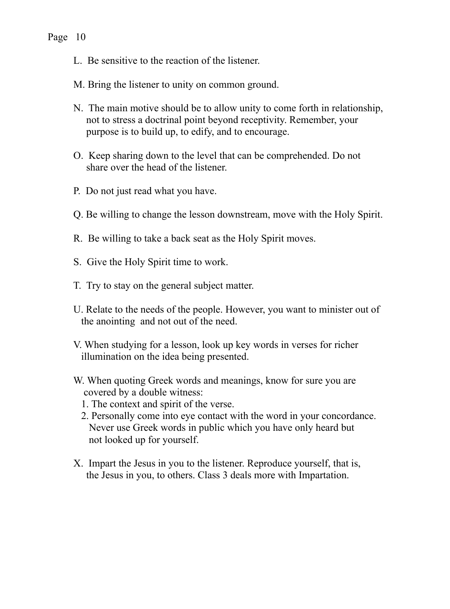- L. Be sensitive to the reaction of the listener.
- M. Bring the listener to unity on common ground.
- N. The main motive should be to allow unity to come forth in relationship, not to stress a doctrinal point beyond receptivity. Remember, your purpose is to build up, to edify, and to encourage.
- O. Keep sharing down to the level that can be comprehended. Do not share over the head of the listener.
- P. Do not just read what you have.
- Q. Be willing to change the lesson downstream, move with the Holy Spirit.
- R. Be willing to take a back seat as the Holy Spirit moves.
- S. Give the Holy Spirit time to work.
- T. Try to stay on the general subject matter.
- U. Relate to the needs of the people. However, you want to minister out of the anointing and not out of the need.
- V. When studying for a lesson, look up key words in verses for richer illumination on the idea being presented.
- W. When quoting Greek words and meanings, know for sure you are covered by a double witness:
	- 1. The context and spirit of the verse.
	- 2. Personally come into eye contact with the word in your concordance. Never use Greek words in public which you have only heard but not looked up for yourself.
- X. Impart the Jesus in you to the listener. Reproduce yourself, that is, the Jesus in you, to others. Class 3 deals more with Impartation.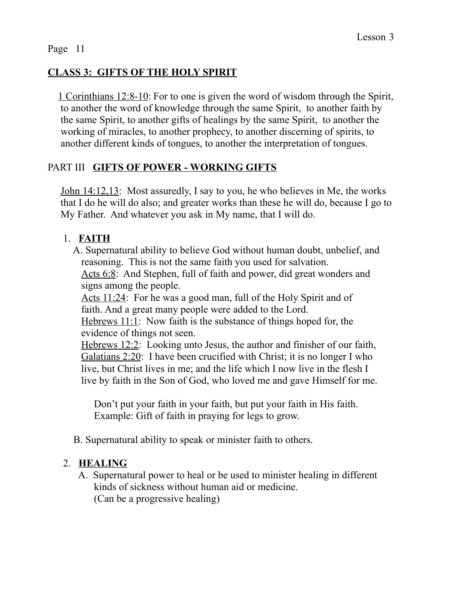## **CLASS 3: GIFTS OF THE HOLY SPIRIT**

 1 Corinthians 12:8-10: For to one is given the word of wisdom through the Spirit, to another the word of knowledge through the same Spirit, to another faith by the same Spirit, to another gifts of healings by the same Spirit, to another the working of miracles, to another prophecy, to another discerning of spirits, to another different kinds of tongues, to another the interpretation of tongues.

#### PART III **GIFTS OF POWER - WORKING GIFTS**

 John 14:12,13: Most assuredly, I say to you, he who believes in Me, the works that I do he will do also; and greater works than these he will do, because I go to My Father. And whatever you ask in My name, that I will do.

#### 1. **FAITH**

 A. Supernatural ability to believe God without human doubt, unbelief, and reasoning. This is not the same faith you used for salvation.

Acts 6:8: And Stephen, full of faith and power, did great wonders and signs among the people.

Acts 11:24: For he was a good man, full of the Holy Spirit and of faith. And a great many people were added to the Lord.

 Hebrews 11:1: Now faith is the substance of things hoped for, the evidence of things not seen.

 Hebrews 12:2: Looking unto Jesus, the author and finisher of our faith, Galatians 2:20: I have been crucified with Christ; it is no longer I who live, but Christ lives in me; and the life which I now live in the flesh I live by faith in the Son of God, who loved me and gave Himself for me.

Don't put your faith in your faith, but put your faith in His faith. Example: Gift of faith in praying for legs to grow.

B. Supernatural ability to speak or minister faith to others.

## 2. **HEALING**

 A. Supernatural power to heal or be used to minister healing in different kinds of sickness without human aid or medicine. (Can be a progressive healing)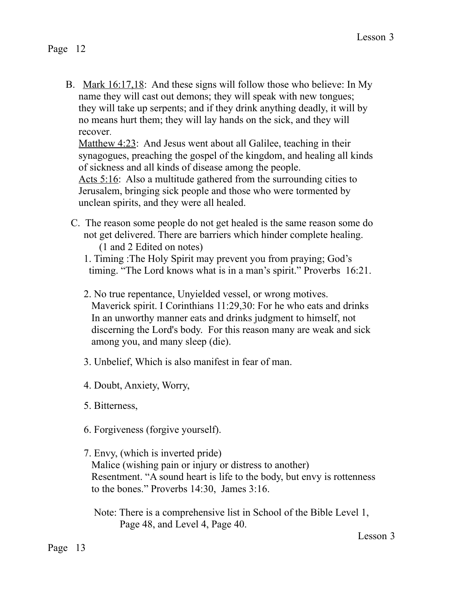B. Mark 16:17,18: And these signs will follow those who believe: In My name they will cast out demons; they will speak with new tongues; they will take up serpents; and if they drink anything deadly, it will by no means hurt them; they will lay hands on the sick, and they will recover.

Matthew 4:23: And Jesus went about all Galilee, teaching in their synagogues, preaching the gospel of the kingdom, and healing all kinds of sickness and all kinds of disease among the people.

Acts 5:16: Also a multitude gathered from the surrounding cities to Jerusalem, bringing sick people and those who were tormented by unclean spirits, and they were all healed.

- C. The reason some people do not get healed is the same reason some do not get delivered. There are barriers which hinder complete healing. (1 and 2 Edited on notes)
	- 1. Timing :The Holy Spirit may prevent you from praying; God's timing. "The Lord knows what is in a man's spirit." Proverbs 16:21.
	- 2. No true repentance, Unyielded vessel, or wrong motives. Maverick spirit. I Corinthians 11:29,30: For he who eats and drinks In an unworthy manner eats and drinks judgment to himself, not discerning the Lord's body. For this reason many are weak and sick among you, and many sleep (die).
	- 3. Unbelief, Which is also manifest in fear of man.
	- 4. Doubt, Anxiety, Worry,
	- 5. Bitterness,
	- 6. Forgiveness (forgive yourself).
	- 7. Envy, (which is inverted pride) Malice (wishing pain or injury or distress to another) Resentment. "A sound heart is life to the body, but envy is rottenness to the bones." Proverbs 14:30, James 3:16.

 Note: There is a comprehensive list in School of the Bible Level 1, Page 48, and Level 4, Page 40.

Lesson 3

Page 13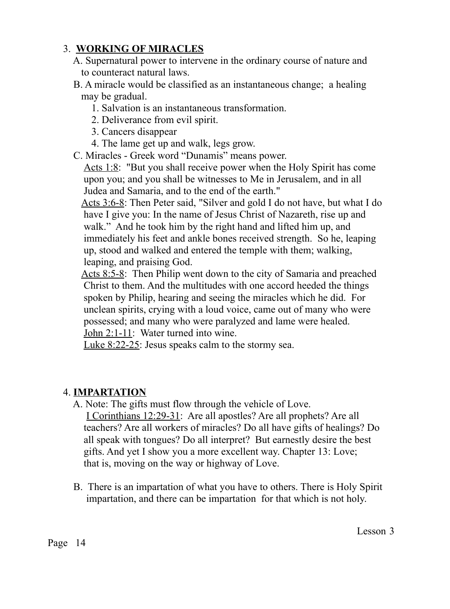## 3. **WORKING OF MIRACLES**

- A. Supernatural power to intervene in the ordinary course of nature and to counteract natural laws.
- B. A miracle would be classified as an instantaneous change; a healing may be gradual.
	- 1. Salvation is an instantaneous transformation.
	- 2. Deliverance from evil spirit.
	- 3. Cancers disappear
	- 4. The lame get up and walk, legs grow.
- C. Miracles Greek word "Dunamis" means power.

 Acts 1:8: "But you shall receive power when the Holy Spirit has come upon you; and you shall be witnesses to Me in Jerusalem, and in all Judea and Samaria, and to the end of the earth."

 Acts 3:6-8: Then Peter said, "Silver and gold I do not have, but what I do have I give you: In the name of Jesus Christ of Nazareth, rise up and walk." And he took him by the right hand and lifted him up, and immediately his feet and ankle bones received strength. So he, leaping up, stood and walked and entered the temple with them; walking, leaping, and praising God.

Acts 8:5-8: Then Philip went down to the city of Samaria and preached Christ to them. And the multitudes with one accord heeded the things spoken by Philip, hearing and seeing the miracles which he did. For unclean spirits, crying with a loud voice, came out of many who were possessed; and many who were paralyzed and lame were healed. John 2:1-11: Water turned into wine.

Luke 8:22-25: Jesus speaks calm to the stormy sea.

## 4. **IMPARTATION**

- A. Note: The gifts must flow through the vehicle of Love. I Corinthians 12:29-31: Are all apostles? Are all prophets? Are all teachers? Are all workers of miracles? Do all have gifts of healings? Do all speak with tongues? Do all interpret? But earnestly desire the best gifts. And yet I show you a more excellent way. Chapter 13: Love; that is, moving on the way or highway of Love.
- B. There is an impartation of what you have to others. There is Holy Spirit impartation, and there can be impartation for that which is not holy.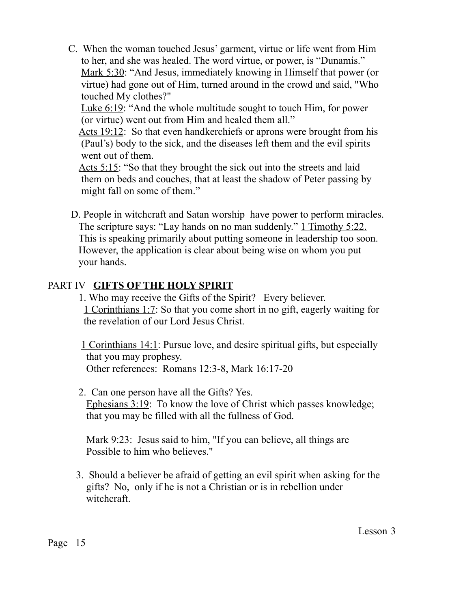C. When the woman touched Jesus' garment, virtue or life went from Him to her, and she was healed. The word virtue, or power, is "Dunamis." Mark 5:30: "And Jesus, immediately knowing in Himself that power (or virtue) had gone out of Him, turned around in the crowd and said, "Who touched My clothes?"

 Luke 6:19: "And the whole multitude sought to touch Him, for power (or virtue) went out from Him and healed them all."

 Acts 19:12: So that even handkerchiefs or aprons were brought from his (Paul's) body to the sick, and the diseases left them and the evil spirits went out of them.

 Acts 5:15: "So that they brought the sick out into the streets and laid them on beds and couches, that at least the shadow of Peter passing by might fall on some of them."

 D. People in witchcraft and Satan worship have power to perform miracles. The scripture says: "Lay hands on no man suddenly." 1 Timothy 5:22. This is speaking primarily about putting someone in leadership too soon. However, the application is clear about being wise on whom you put your hands.

#### PART IV **GIFTS OF THE HOLY SPIRIT**

 1. Who may receive the Gifts of the Spirit? Every believer. 1 Corinthians 1:7: So that you come short in no gift, eagerly waiting for the revelation of our Lord Jesus Christ.

 1 Corinthians 14:1: Pursue love, and desire spiritual gifts, but especially that you may prophesy. Other references: Romans 12:3-8, Mark 16:17-20

 2. Can one person have all the Gifts? Yes. Ephesians 3:19: To know the love of Christ which passes knowledge; that you may be filled with all the fullness of God.

Mark 9:23: Jesus said to him, "If you can believe, all things are Possible to him who believes."

 3. Should a believer be afraid of getting an evil spirit when asking for the gifts? No, only if he is not a Christian or is in rebellion under witchcraft.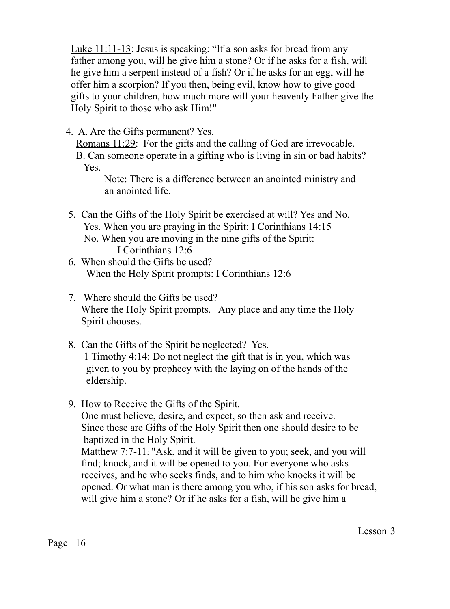Luke 11:11-13: Jesus is speaking: "If a son asks for bread from any father among you, will he give him a stone? Or if he asks for a fish, will he give him a serpent instead of a fish? Or if he asks for an egg, will he offer him a scorpion? If you then, being evil, know how to give good gifts to your children, how much more will your heavenly Father give the Holy Spirit to those who ask Him!"

4. A. Are the Gifts permanent? Yes.

Romans 11:29: For the gifts and the calling of God are irrevocable.

 B. Can someone operate in a gifting who is living in sin or bad habits? Yes.

 Note: There is a difference between an anointed ministry and an anointed life.

 5. Can the Gifts of the Holy Spirit be exercised at will? Yes and No. Yes. When you are praying in the Spirit: I Corinthians 14:15 No. When you are moving in the nine gifts of the Spirit:

I Corinthians 12:6

- 6. When should the Gifts be used? When the Holy Spirit prompts: I Corinthians 12:6
- 7. Where should the Gifts be used? Where the Holy Spirit prompts. Any place and any time the Holy Spirit chooses.
- 8. Can the Gifts of the Spirit be neglected? Yes. 1 Timothy 4:14: Do not neglect the gift that is in you, which was given to you by prophecy with the laying on of the hands of the eldership.
- 9. How to Receive the Gifts of the Spirit. One must believe, desire, and expect, so then ask and receive. Since these are Gifts of the Holy Spirit then one should desire to be baptized in the Holy Spirit. Matthew 7:7-11: "Ask, and it will be given to you; seek, and you will

 find; knock, and it will be opened to you. For everyone who asks receives, and he who seeks finds, and to him who knocks it will be opened. Or what man is there among you who, if his son asks for bread, will give him a stone? Or if he asks for a fish, will he give him a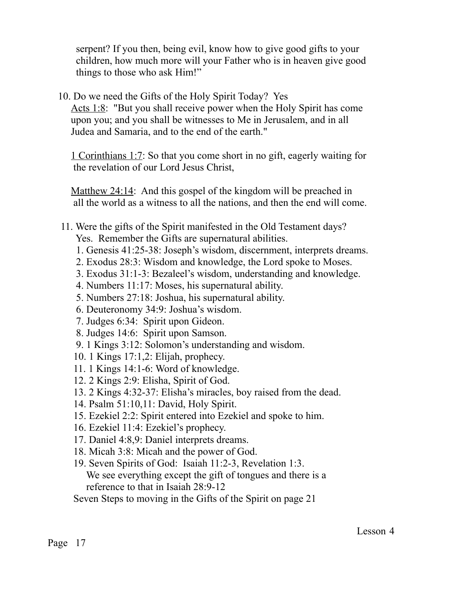serpent? If you then, being evil, know how to give good gifts to your children, how much more will your Father who is in heaven give good things to those who ask Him!"

10. Do we need the Gifts of the Holy Spirit Today? Yes

Acts 1:8: "But you shall receive power when the Holy Spirit has come upon you; and you shall be witnesses to Me in Jerusalem, and in all Judea and Samaria, and to the end of the earth."

 1 Corinthians 1:7: So that you come short in no gift, eagerly waiting for the revelation of our Lord Jesus Christ,

 Matthew 24:14: And this gospel of the kingdom will be preached in all the world as a witness to all the nations, and then the end will come.

#### 11. Were the gifts of the Spirit manifested in the Old Testament days? Yes. Remember the Gifts are supernatural abilities.

- 1. Genesis 41:25-38: Joseph's wisdom, discernment, interprets dreams.
- 2. Exodus 28:3: Wisdom and knowledge, the Lord spoke to Moses.
- 3. Exodus 31:1-3: Bezaleel's wisdom, understanding and knowledge.
- 4. Numbers 11:17: Moses, his supernatural ability.
- 5. Numbers 27:18: Joshua, his supernatural ability.
- 6. Deuteronomy 34:9: Joshua's wisdom.
- 7. Judges 6:34: Spirit upon Gideon.
- 8. Judges 14:6: Spirit upon Samson.
- 9. 1 Kings 3:12: Solomon's understanding and wisdom.
- 10. 1 Kings 17:1,2: Elijah, prophecy.
- 11. 1 Kings 14:1-6: Word of knowledge.
- 12. 2 Kings 2:9: Elisha, Spirit of God.
- 13. 2 Kings 4:32-37: Elisha's miracles, boy raised from the dead.
- 14. Psalm 51:10,11: David, Holy Spirit.
- 15. Ezekiel 2:2: Spirit entered into Ezekiel and spoke to him.
- 16. Ezekiel 11:4: Ezekiel's prophecy.
- 17. Daniel 4:8,9: Daniel interprets dreams.
- 18. Micah 3:8: Micah and the power of God.
- 19. Seven Spirits of God: Isaiah 11:2-3, Revelation 1:3. We see everything except the gift of tongues and there is a reference to that in Isaiah 28:9-12

Seven Steps to moving in the Gifts of the Spirit on page 21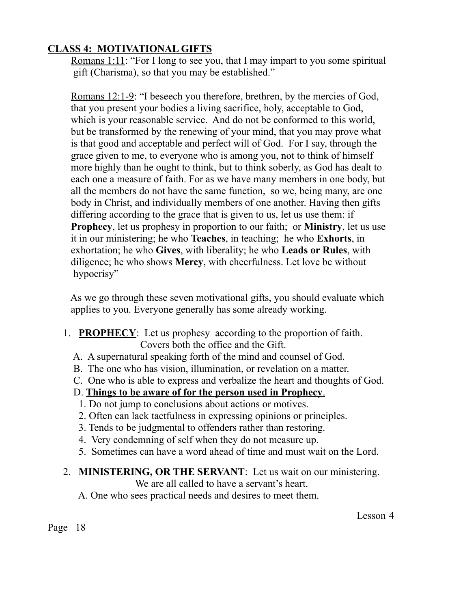## **CLASS 4: MOTIVATIONAL GIFTS**

 Romans 1:11: "For I long to see you, that I may impart to you some spiritual gift (Charisma), so that you may be established."

 Romans 12:1-9: "I beseech you therefore, brethren, by the mercies of God, that you present your bodies a living sacrifice, holy, acceptable to God, which is your reasonable service. And do not be conformed to this world, but be transformed by the renewing of your mind, that you may prove what is that good and acceptable and perfect will of God. For I say, through the grace given to me, to everyone who is among you, not to think of himself more highly than he ought to think, but to think soberly, as God has dealt to each one a measure of faith. For as we have many members in one body, but all the members do not have the same function, so we, being many, are one body in Christ, and individually members of one another. Having then gifts differing according to the grace that is given to us, let us use them: if **Prophecy**, let us prophesy in proportion to our faith; or **Ministry**, let us use it in our ministering; he who **Teaches**, in teaching; he who **Exhorts**, in exhortation; he who **Gives**, with liberality; he who **Leads or Rules**, with diligence; he who shows **Mercy**, with cheerfulness. Let love be without hypocrisy"

 As we go through these seven motivational gifts, you should evaluate which applies to you. Everyone generally has some already working.

- 1. **PROPHECY**: Let us prophesy according to the proportion of faith. Covers both the office and the Gift.
	- A. A supernatural speaking forth of the mind and counsel of God.
	- B. The one who has vision, illumination, or revelation on a matter.
	- C. One who is able to express and verbalize the heart and thoughts of God.

## D. **Things to be aware of for the person used in Prophecy**.

- 1. Do not jump to conclusions about actions or motives.
- 2. Often can lack tactfulness in expressing opinions or principles.
- 3. Tends to be judgmental to offenders rather than restoring.
- 4. Very condemning of self when they do not measure up.
- 5. Sometimes can have a word ahead of time and must wait on the Lord.

#### 2. **MINISTERING, OR THE SERVANT**: Let us wait on our ministering.

We are all called to have a servant's heart.

A. One who sees practical needs and desires to meet them.

Lesson 4

Page 18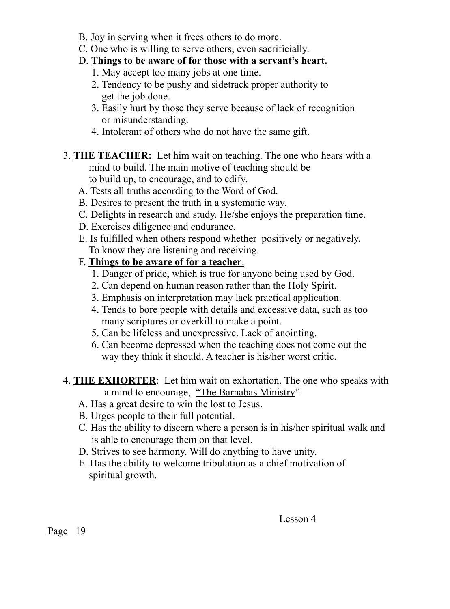- B. Joy in serving when it frees others to do more.
- C. One who is willing to serve others, even sacrificially.

## D. **Things to be aware of for those with a servant's heart.**

- 1. May accept too many jobs at one time.
- 2. Tendency to be pushy and sidetrack proper authority to get the job done.
- 3. Easily hurt by those they serve because of lack of recognition or misunderstanding.
- 4. Intolerant of others who do not have the same gift.
- 3. **THE TEACHER:** Let him wait on teaching. The one who hears with a mind to build. The main motive of teaching should be to build up, to encourage, and to edify.
	- A. Tests all truths according to the Word of God.
	- B. Desires to present the truth in a systematic way.
	- C. Delights in research and study. He/she enjoys the preparation time.
	- D. Exercises diligence and endurance.
	- E. Is fulfilled when others respond whether positively or negatively. To know they are listening and receiving.
	- F. **Things to be aware of for a teacher**.
		- 1. Danger of pride, which is true for anyone being used by God.
		- 2. Can depend on human reason rather than the Holy Spirit.
		- 3. Emphasis on interpretation may lack practical application.
		- 4. Tends to bore people with details and excessive data, such as too many scriptures or overkill to make a point.
		- 5. Can be lifeless and unexpressive. Lack of anointing.
		- 6. Can become depressed when the teaching does not come out the way they think it should. A teacher is his/her worst critic.
- 4. **THE EXHORTER**: Let him wait on exhortation. The one who speaks with a mind to encourage, "The Barnabas Ministry".
	- A. Has a great desire to win the lost to Jesus.
	- B. Urges people to their full potential.
	- C. Has the ability to discern where a person is in his/her spiritual walk and is able to encourage them on that level.
	- D. Strives to see harmony. Will do anything to have unity.
	- E. Has the ability to welcome tribulation as a chief motivation of spiritual growth.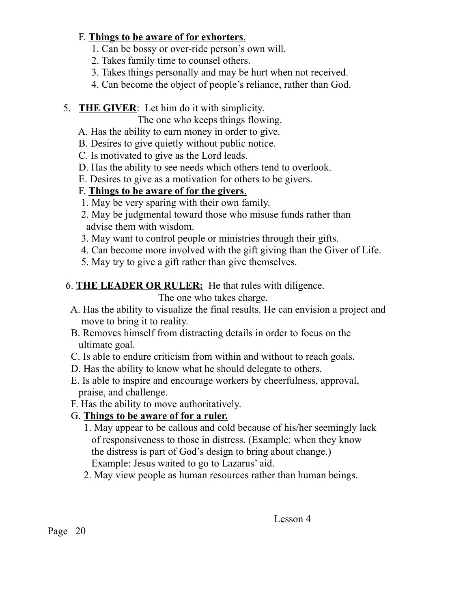#### F. **Things to be aware of for exhorters**.

- 1. Can be bossy or over-ride person's own will.
- 2. Takes family time to counsel others.
- 3. Takes things personally and may be hurt when not received.
- 4. Can become the object of people's reliance, rather than God.
- 5. **THE GIVER**: Let him do it with simplicity.

The one who keeps things flowing.

- A. Has the ability to earn money in order to give.
- B. Desires to give quietly without public notice.
- C. Is motivated to give as the Lord leads.
- D. Has the ability to see needs which others tend to overlook.
- E. Desires to give as a motivation for others to be givers.

## F. **Things to be aware of for the givers**.

- 1. May be very sparing with their own family.
- 2. May be judgmental toward those who misuse funds rather than advise them with wisdom.
- 3. May want to control people or ministries through their gifts.
- 4. Can become more involved with the gift giving than the Giver of Life.
- 5. May try to give a gift rather than give themselves.
- 6. **THE LEADER OR RULER:** He that rules with diligence.

The one who takes charge.

- A. Has the ability to visualize the final results. He can envision a project and move to bring it to reality.
- B. Removes himself from distracting details in order to focus on the ultimate goal.
- C. Is able to endure criticism from within and without to reach goals.
- D. Has the ability to know what he should delegate to others.
- E. Is able to inspire and encourage workers by cheerfulness, approval, praise, and challenge.
- F. Has the ability to move authoritatively.

## G. **Things to be aware of for a ruler.**

- 1. May appear to be callous and cold because of his/her seemingly lack of responsiveness to those in distress. (Example: when they know the distress is part of God's design to bring about change.) Example: Jesus waited to go to Lazarus' aid.
- 2. May view people as human resources rather than human beings.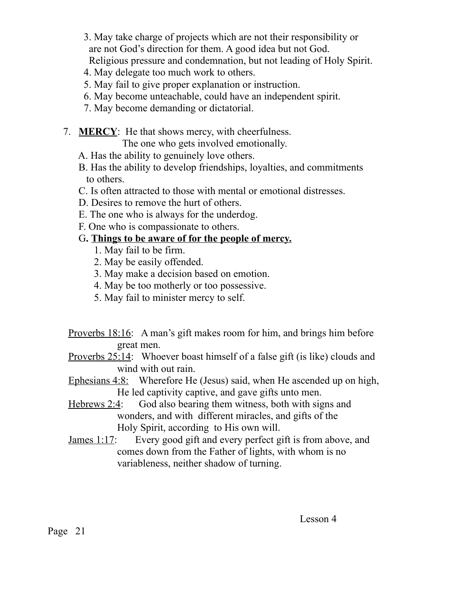- 3. May take charge of projects which are not their responsibility or are not God's direction for them. A good idea but not God. Religious pressure and condemnation, but not leading of Holy Spirit.
- 4. May delegate too much work to others.
- 5. May fail to give proper explanation or instruction.
- 6. May become unteachable, could have an independent spirit.
- 7. May become demanding or dictatorial.
- 7. **MERCY**: He that shows mercy, with cheerfulness.

The one who gets involved emotionally.

- A. Has the ability to genuinely love others.
- B. Has the ability to develop friendships, loyalties, and commitments to others.
- C. Is often attracted to those with mental or emotional distresses.
- D. Desires to remove the hurt of others.
- E. The one who is always for the underdog.
- F. One who is compassionate to others.

## G**. Things to be aware of for the people of mercy.**

- 1. May fail to be firm.
- 2. May be easily offended.
- 3. May make a decision based on emotion.
- 4. May be too motherly or too possessive.
- 5. May fail to minister mercy to self.

 Proverbs 18:16: A man's gift makes room for him, and brings him before great men.

- Proverbs 25:14: Whoever boast himself of a false gift (is like) clouds and wind with out rain.
- Ephesians 4:8: Wherefore He (Jesus) said, when He ascended up on high, He led captivity captive, and gave gifts unto men.
- Hebrews 2:4: God also bearing them witness, both with signs and wonders, and with different miracles, and gifts of the Holy Spirit, according to His own will.
- James 1:17: Every good gift and every perfect gift is from above, and comes down from the Father of lights, with whom is no variableness, neither shadow of turning.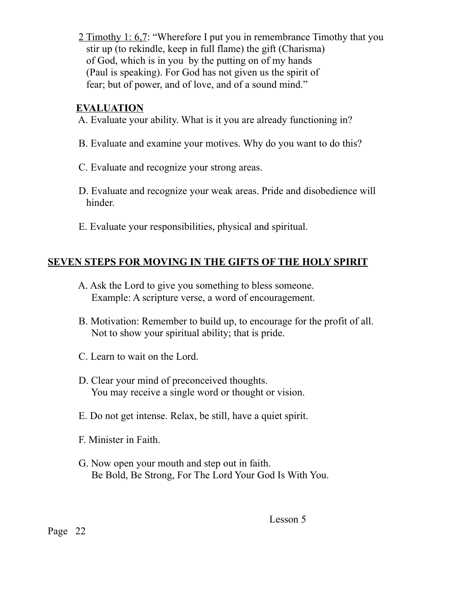2 Timothy 1: 6,7: "Wherefore I put you in remembrance Timothy that you stir up (to rekindle, keep in full flame) the gift (Charisma) of God, which is in you by the putting on of my hands (Paul is speaking). For God has not given us the spirit of fear; but of power, and of love, and of a sound mind."

#### **EVALUATION**

- A. Evaluate your ability. What is it you are already functioning in?
- B. Evaluate and examine your motives. Why do you want to do this?
- C. Evaluate and recognize your strong areas.
- D. Evaluate and recognize your weak areas. Pride and disobedience will hinder.
- E. Evaluate your responsibilities, physical and spiritual.

## **SEVEN STEPS FOR MOVING IN THE GIFTS OF THE HOLY SPIRIT**

- A. Ask the Lord to give you something to bless someone. Example: A scripture verse, a word of encouragement.
- B. Motivation: Remember to build up, to encourage for the profit of all. Not to show your spiritual ability; that is pride.
- C. Learn to wait on the Lord.
- D. Clear your mind of preconceived thoughts. You may receive a single word or thought or vision.
- E. Do not get intense. Relax, be still, have a quiet spirit.
- F. Minister in Faith.
- G. Now open your mouth and step out in faith. Be Bold, Be Strong, For The Lord Your God Is With You.

Page 22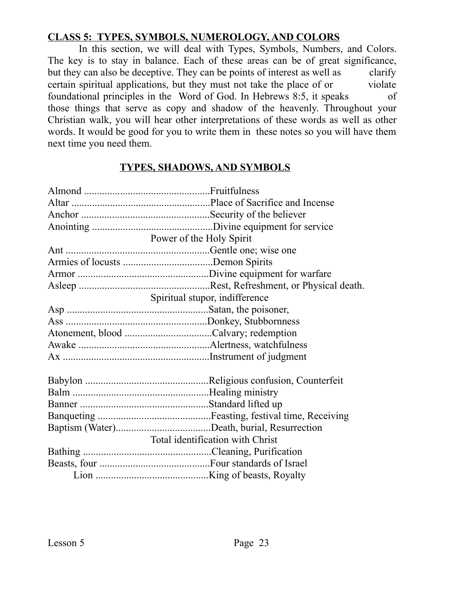#### **CLASS 5: TYPES, SYMBOLS, NUMEROLOGY, AND COLORS**

 In this section, we will deal with Types, Symbols, Numbers, and Colors. The key is to stay in balance. Each of these areas can be of great significance, but they can also be deceptive. They can be points of interest as well as clarify certain spiritual applications, but they must not take the place of or violate foundational principles in the Word of God. In Hebrews 8:5, it speaks of those things that serve as copy and shadow of the heavenly. Throughout your Christian walk, you will hear other interpretations of these words as well as other words. It would be good for you to write them in these notes so you will have them next time you need them.

#### **TYPES, SHADOWS, AND SYMBOLS**

| Power of the Holy Spirit         |
|----------------------------------|
|                                  |
|                                  |
|                                  |
|                                  |
| Spiritual stupor, indifference   |
|                                  |
|                                  |
|                                  |
|                                  |
|                                  |
|                                  |
|                                  |
|                                  |
|                                  |
|                                  |
| Total identification with Christ |
|                                  |
|                                  |
|                                  |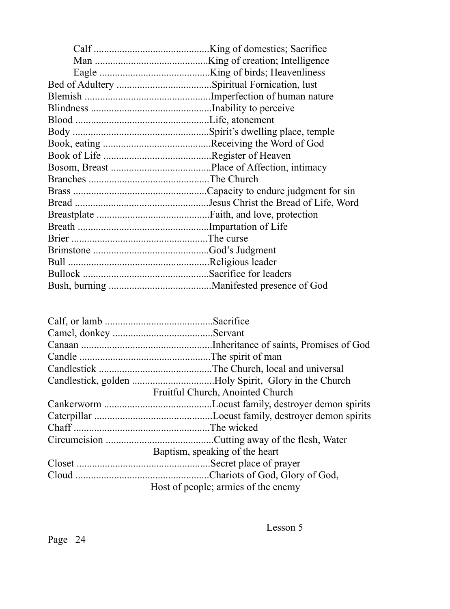| Fruitful Church, Anointed Church    |
|-------------------------------------|
|                                     |
|                                     |
|                                     |
|                                     |
| Baptism, speaking of the heart      |
|                                     |
|                                     |
| Host of people; armies of the enemy |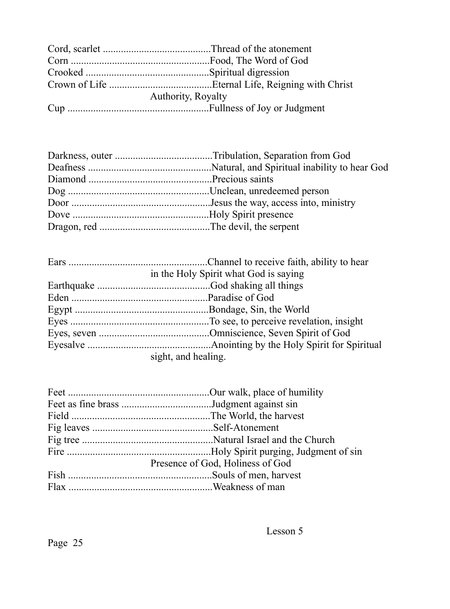| <b>Authority, Royalty</b> |  |  |
|---------------------------|--|--|
|                           |  |  |

| in the Holy Spirit what God is saying |
|---------------------------------------|
|                                       |
|                                       |
|                                       |
|                                       |
|                                       |
|                                       |
| sight, and healing.                   |

| Presence of God, Holiness of God |
|----------------------------------|
|                                  |
|                                  |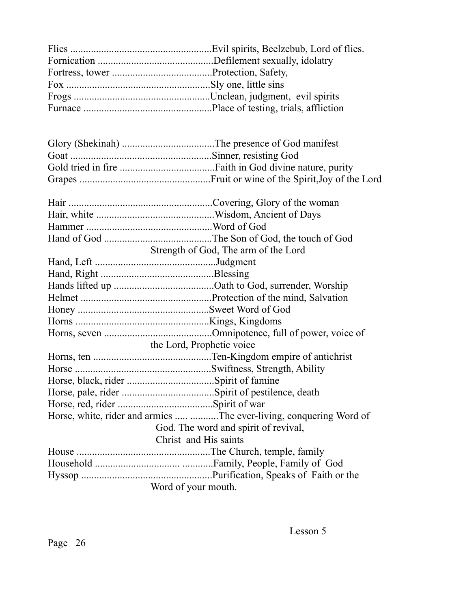|                       | Strength of God, The arm of the Lord                                |  |
|-----------------------|---------------------------------------------------------------------|--|
|                       |                                                                     |  |
|                       |                                                                     |  |
|                       |                                                                     |  |
|                       |                                                                     |  |
|                       |                                                                     |  |
|                       |                                                                     |  |
|                       |                                                                     |  |
|                       | the Lord, Prophetic voice                                           |  |
|                       |                                                                     |  |
|                       |                                                                     |  |
|                       |                                                                     |  |
|                       |                                                                     |  |
|                       |                                                                     |  |
|                       | Horse, white, rider and armies  The ever-living, conquering Word of |  |
|                       | God. The word and spirit of revival,                                |  |
| Christ and His saints |                                                                     |  |
|                       |                                                                     |  |
|                       |                                                                     |  |
|                       |                                                                     |  |
| Word of your mouth.   |                                                                     |  |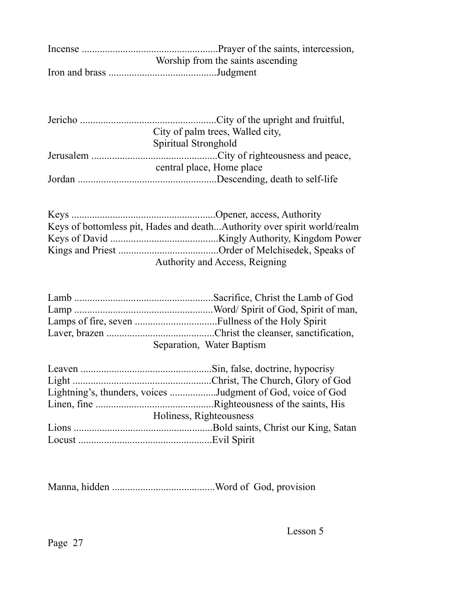| Worship from the saints ascending |
|-----------------------------------|
|                                   |

| City of palm trees, Walled city, |
|----------------------------------|
| Spiritual Stronghold             |
|                                  |
| central place, Home place        |
|                                  |

| Keys of bottomless pit, Hades and deathAuthority over spirit world/realm |
|--------------------------------------------------------------------------|
|                                                                          |
|                                                                          |
| Authority and Access, Reigning                                           |

| Separation, Water Baptism |
|---------------------------|

| Lightning's, thunders, voices Judgment of God, voice of God |
|-------------------------------------------------------------|
|                                                             |
| Holiness, Righteousness                                     |
|                                                             |
|                                                             |

Manna, hidden ........................................Word of God, provision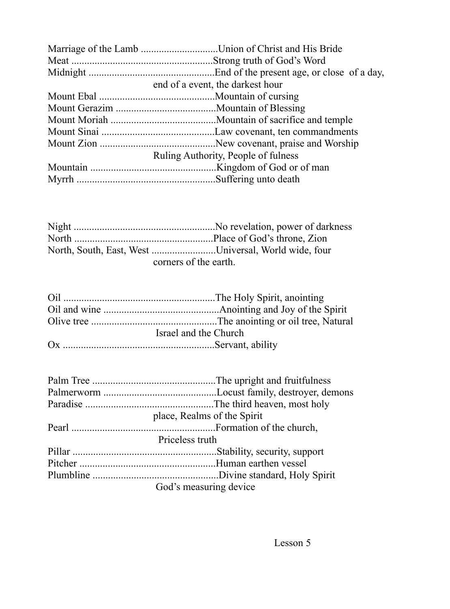| Marriage of the Lamb Union of Christ and His Bride |
|----------------------------------------------------|
|                                                    |
|                                                    |
| end of a event, the darkest hour                   |
|                                                    |
|                                                    |
|                                                    |
|                                                    |
|                                                    |
| Ruling Authority, People of fulness                |
|                                                    |
|                                                    |

| North, South, East, West Universal, World wide, four |  |
|------------------------------------------------------|--|
| corners of the earth.                                |  |

| Israel and the Church |
|-----------------------|
|                       |

| place, Realms of the Spirit |
|-----------------------------|
|                             |
| Priceless truth             |
|                             |
|                             |
|                             |
| God's measuring device      |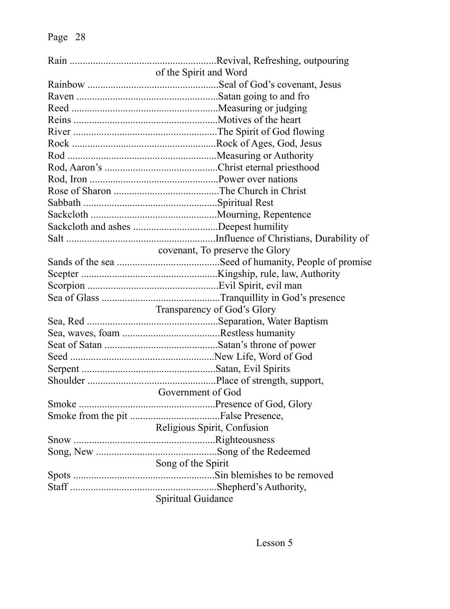| of the Spirit and Word          |
|---------------------------------|
|                                 |
|                                 |
|                                 |
|                                 |
|                                 |
|                                 |
|                                 |
|                                 |
|                                 |
|                                 |
|                                 |
|                                 |
|                                 |
|                                 |
| covenant, To preserve the Glory |
|                                 |
|                                 |
|                                 |
|                                 |
| Transparency of God's Glory     |
|                                 |
|                                 |
|                                 |
|                                 |
|                                 |
|                                 |
| Government of God               |
|                                 |
|                                 |
| Religious Spirit, Confusion     |
|                                 |
|                                 |
| Song of the Spirit              |
|                                 |
|                                 |
| Spiritual Guidance              |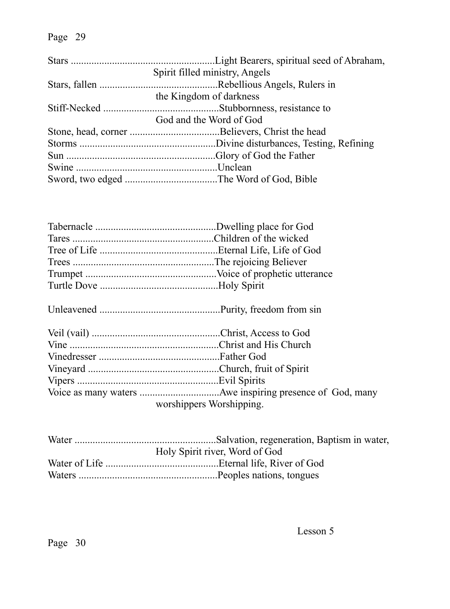| Spirit filled ministry, Angels |
|--------------------------------|
|                                |
| the Kingdom of darkness        |
|                                |
| God and the Word of God        |
|                                |
|                                |
|                                |
|                                |
|                                |

| worshippers Worshipping. |
|--------------------------|

| Holy Spirit river, Word of God |
|--------------------------------|
|                                |
|                                |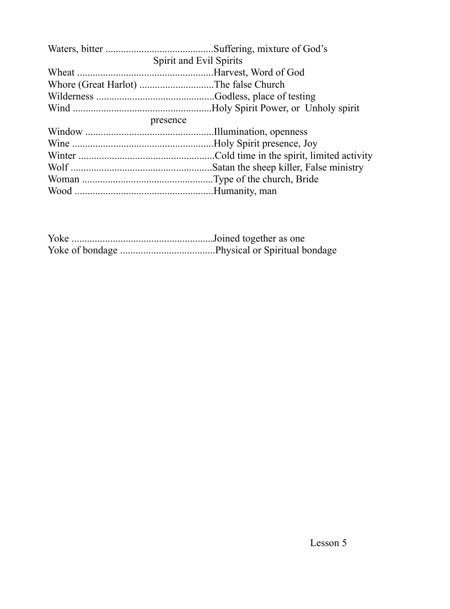| Spirit and Evil Spirits |                                       |  |  |
|-------------------------|---------------------------------------|--|--|
|                         |                                       |  |  |
|                         | Whore (Great Harlot) The false Church |  |  |
|                         |                                       |  |  |
|                         |                                       |  |  |
|                         | presence                              |  |  |
|                         |                                       |  |  |
|                         |                                       |  |  |
|                         |                                       |  |  |
|                         |                                       |  |  |
|                         |                                       |  |  |
|                         |                                       |  |  |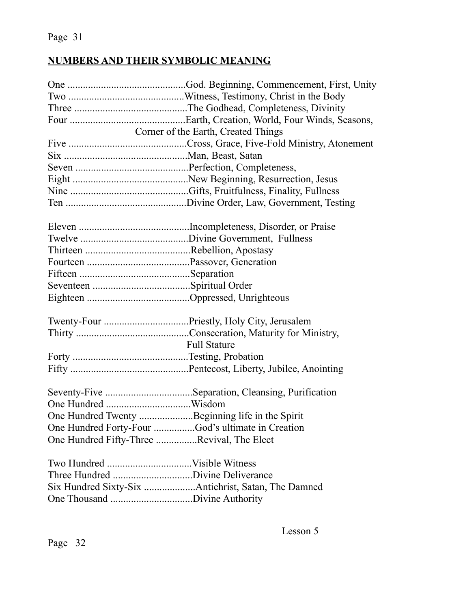## **NUMBERS AND THEIR SYMBOLIC MEANING**

| Corner of the Earth, Created Things                 |
|-----------------------------------------------------|
|                                                     |
|                                                     |
|                                                     |
|                                                     |
|                                                     |
|                                                     |
|                                                     |
|                                                     |
|                                                     |
|                                                     |
|                                                     |
|                                                     |
|                                                     |
|                                                     |
|                                                     |
|                                                     |
|                                                     |
| <b>Full Stature</b>                                 |
|                                                     |
|                                                     |
|                                                     |
| Seventy-Five Separation, Cleansing, Purification    |
| One Hundred.<br>Wisdom                              |
| One Hundred Twenty Beginning life in the Spirit     |
| One Hundred Forty-Four God's ultimate in Creation   |
| One Hundred Fifty-Three Revival, The Elect          |
|                                                     |
|                                                     |
| Six Hundred Sixty-Six Antichrist, Satan, The Damned |
| $\mathbf{D}^*$ $\mathbf{A}$ $\mathbf{A}$            |

One Thousand ................................Divine Authority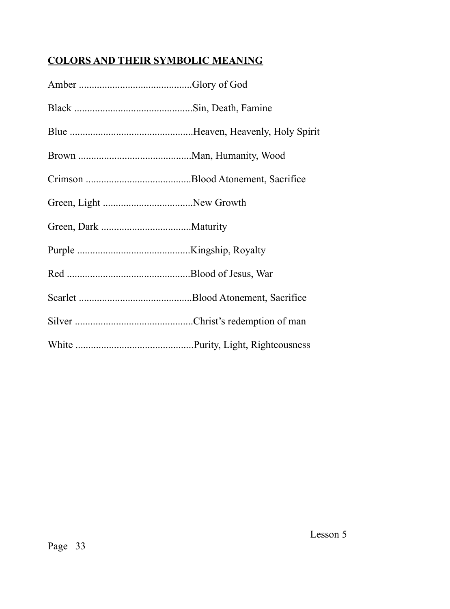# **COLORS AND THEIR SYMBOLIC MEANING**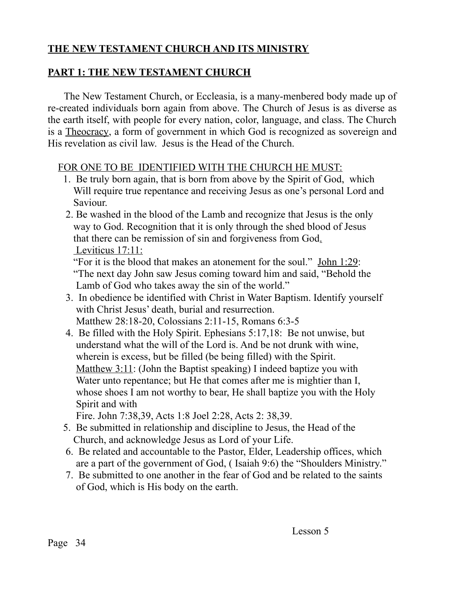## **THE NEW TESTAMENT CHURCH AND ITS MINISTRY**

## **PART 1: THE NEW TESTAMENT CHURCH**

 The New Testament Church, or Eccleasia, is a many-menbered body made up of re-created individuals born again from above. The Church of Jesus is as diverse as the earth itself, with people for every nation, color, language, and class. The Church is a Theocracy, a form of government in which God is recognized as sovereign and His revelation as civil law. Jesus is the Head of the Church.

## FOR ONE TO BE IDENTIFIED WITH THE CHURCH HE MUST:

- 1. Be truly born again, that is born from above by the Spirit of God, which Will require true repentance and receiving Jesus as one's personal Lord and Saviour.
- 2. Be washed in the blood of the Lamb and recognize that Jesus is the only way to God. Recognition that it is only through the shed blood of Jesus that there can be remission of sin and forgiveness from God. Leviticus 17:11:

 "For it is the blood that makes an atonement for the soul." John 1:29: "The next day John saw Jesus coming toward him and said, "Behold the Lamb of God who takes away the sin of the world."

- 3. In obedience be identified with Christ in Water Baptism. Identify yourself with Christ Jesus' death, burial and resurrection. Matthew 28:18-20, Colossians 2:11-15, Romans 6:3-5
- 4. Be filled with the Holy Spirit. Ephesians 5:17,18: Be not unwise, but understand what the will of the Lord is. And be not drunk with wine, wherein is excess, but be filled (be being filled) with the Spirit. Matthew 3:11: (John the Baptist speaking) I indeed baptize you with Water unto repentance; but He that comes after me is mightier than I, whose shoes I am not worthy to bear, He shall baptize you with the Holy Spirit and with

Fire. John 7:38,39, Acts 1:8 Joel 2:28, Acts 2: 38,39.

- 5. Be submitted in relationship and discipline to Jesus, the Head of the Church, and acknowledge Jesus as Lord of your Life.
- 6. Be related and accountable to the Pastor, Elder, Leadership offices, which are a part of the government of God, ( Isaiah 9:6) the "Shoulders Ministry."
- 7. Be submitted to one another in the fear of God and be related to the saints of God, which is His body on the earth.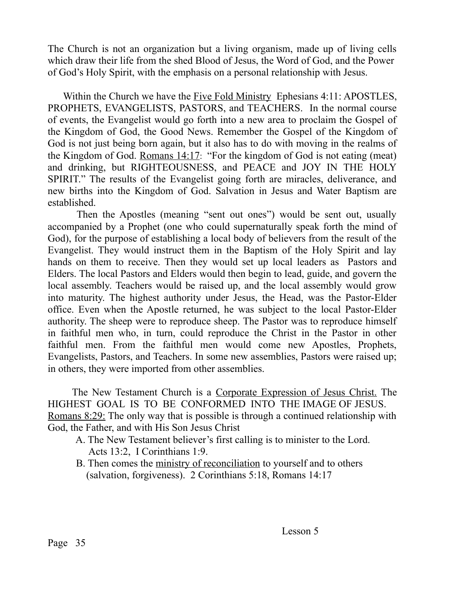The Church is not an organization but a living organism, made up of living cells which draw their life from the shed Blood of Jesus, the Word of God, and the Power of God's Holy Spirit, with the emphasis on a personal relationship with Jesus.

Within the Church we have the Five Fold Ministry Ephesians 4:11: APOSTLES, PROPHETS, EVANGELISTS, PASTORS, and TEACHERS. In the normal course of events, the Evangelist would go forth into a new area to proclaim the Gospel of the Kingdom of God, the Good News. Remember the Gospel of the Kingdom of God is not just being born again, but it also has to do with moving in the realms of the Kingdom of God. Romans 14:17: "For the kingdom of God is not eating (meat) and drinking, but RIGHTEOUSNESS, and PEACE and JOY IN THE HOLY SPIRIT." The results of the Evangelist going forth are miracles, deliverance, and new births into the Kingdom of God. Salvation in Jesus and Water Baptism are established.

 Then the Apostles (meaning "sent out ones") would be sent out, usually accompanied by a Prophet (one who could supernaturally speak forth the mind of God), for the purpose of establishing a local body of believers from the result of the Evangelist. They would instruct them in the Baptism of the Holy Spirit and lay hands on them to receive. Then they would set up local leaders as Pastors and Elders. The local Pastors and Elders would then begin to lead, guide, and govern the local assembly. Teachers would be raised up, and the local assembly would grow into maturity. The highest authority under Jesus, the Head, was the Pastor-Elder office. Even when the Apostle returned, he was subject to the local Pastor-Elder authority. The sheep were to reproduce sheep. The Pastor was to reproduce himself in faithful men who, in turn, could reproduce the Christ in the Pastor in other faithful men. From the faithful men would come new Apostles, Prophets, Evangelists, Pastors, and Teachers. In some new assemblies, Pastors were raised up; in others, they were imported from other assemblies.

 The New Testament Church is a Corporate Expression of Jesus Christ. The HIGHEST GOAL IS TO BE CONFORMED INTO THE IMAGE OF JESUS. Romans 8:29: The only way that is possible is through a continued relationship with God, the Father, and with His Son Jesus Christ

- A. The New Testament believer's first calling is to minister to the Lord. Acts 13:2, I Corinthians 1:9.
- B. Then comes the ministry of reconciliation to yourself and to others (salvation, forgiveness). 2 Corinthians 5:18, Romans 14:17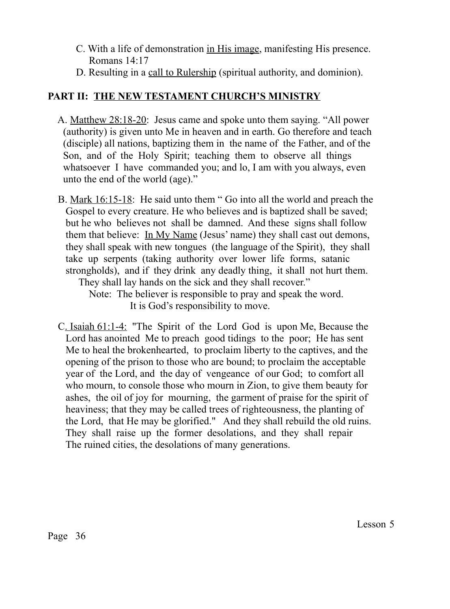- C. With a life of demonstration in His image, manifesting His presence. Romans 14:17
- D. Resulting in a call to Rulership (spiritual authority, and dominion).

## **PART II: THE NEW TESTAMENT CHURCH'S MINISTRY**

- A. Matthew 28:18-20: Jesus came and spoke unto them saying. "All power (authority) is given unto Me in heaven and in earth. Go therefore and teach (disciple) all nations, baptizing them in the name of the Father, and of the Son, and of the Holy Spirit; teaching them to observe all things whatsoever I have commanded you; and lo, I am with you always, even unto the end of the world (age)."
- B. Mark 16:15-18: He said unto them " Go into all the world and preach the Gospel to every creature. He who believes and is baptized shall be saved; but he who believes not shall be damned. And these signs shall follow them that believe: In My Name (Jesus' name) they shall cast out demons, they shall speak with new tongues (the language of the Spirit), they shall take up serpents (taking authority over lower life forms, satanic strongholds), and if they drink any deadly thing, it shall not hurt them. They shall lay hands on the sick and they shall recover."

 Note: The believer is responsible to pray and speak the word. It is God's responsibility to move.

 C. Isaiah 61:1-4: "The Spirit of the Lord God is upon Me, Because the Lord has anointed Me to preach good tidings to the poor; He has sent Me to heal the brokenhearted, to proclaim liberty to the captives, and the opening of the prison to those who are bound; to proclaim the acceptable year of the Lord, and the day of vengeance of our God; to comfort all who mourn, to console those who mourn in Zion, to give them beauty for ashes, the oil of joy for mourning, the garment of praise for the spirit of heaviness; that they may be called trees of righteousness, the planting of the Lord, that He may be glorified." And they shall rebuild the old ruins. They shall raise up the former desolations, and they shall repair The ruined cities, the desolations of many generations.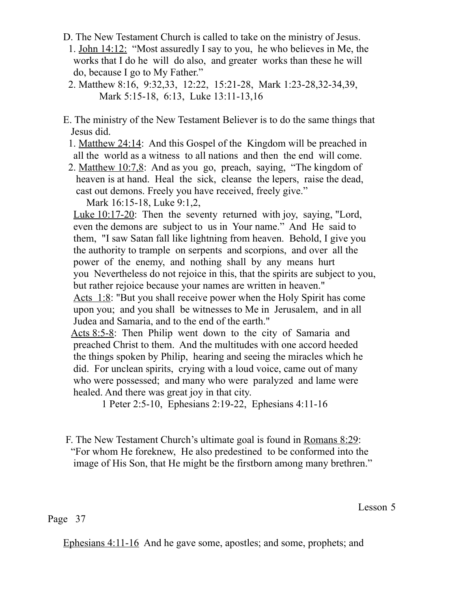- D. The New Testament Church is called to take on the ministry of Jesus.
	- 1. John 14:12: "Most assuredly I say to you, he who believes in Me, the works that I do he will do also, and greater works than these he will do, because I go to My Father."
	- 2. Matthew 8:16, 9:32,33, 12:22, 15:21-28, Mark 1:23-28,32-34,39, Mark 5:15-18, 6:13, Luke 13:11-13,16
- E. The ministry of the New Testament Believer is to do the same things that Jesus did.
	- 1. Matthew 24:14: And this Gospel of the Kingdom will be preached in all the world as a witness to all nations and then the end will come.
	- 2. Matthew 10:7,8: And as you go, preach, saying, "The kingdom of heaven is at hand. Heal the sick, cleanse the lepers, raise the dead, cast out demons. Freely you have received, freely give."

Mark 16:15-18, Luke 9:1,2,

 Luke 10:17-20: Then the seventy returned with joy, saying, "Lord, even the demons are subject to us in Your name." And He said to them, "I saw Satan fall like lightning from heaven. Behold, I give you the authority to trample on serpents and scorpions, and over all the power of the enemy, and nothing shall by any means hurt you Nevertheless do not rejoice in this, that the spirits are subject to you, but rather rejoice because your names are written in heaven."

Acts 1:8: "But you shall receive power when the Holy Spirit has come upon you; and you shall be witnesses to Me in Jerusalem, and in all Judea and Samaria, and to the end of the earth."

 Acts 8:5-8: Then Philip went down to the city of Samaria and preached Christ to them. And the multitudes with one accord heeded the things spoken by Philip, hearing and seeing the miracles which he did. For unclean spirits, crying with a loud voice, came out of many who were possessed; and many who were paralyzed and lame were healed. And there was great joy in that city.

1 Peter 2:5-10, Ephesians 2:19-22, Ephesians 4:11-16

 F. The New Testament Church's ultimate goal is found in Romans 8:29: "For whom He foreknew, He also predestined to be conformed into the image of His Son, that He might be the firstborn among many brethren."

Lesson 5

Page 37

Ephesians 4:11-16 And he gave some, apostles; and some, prophets; and